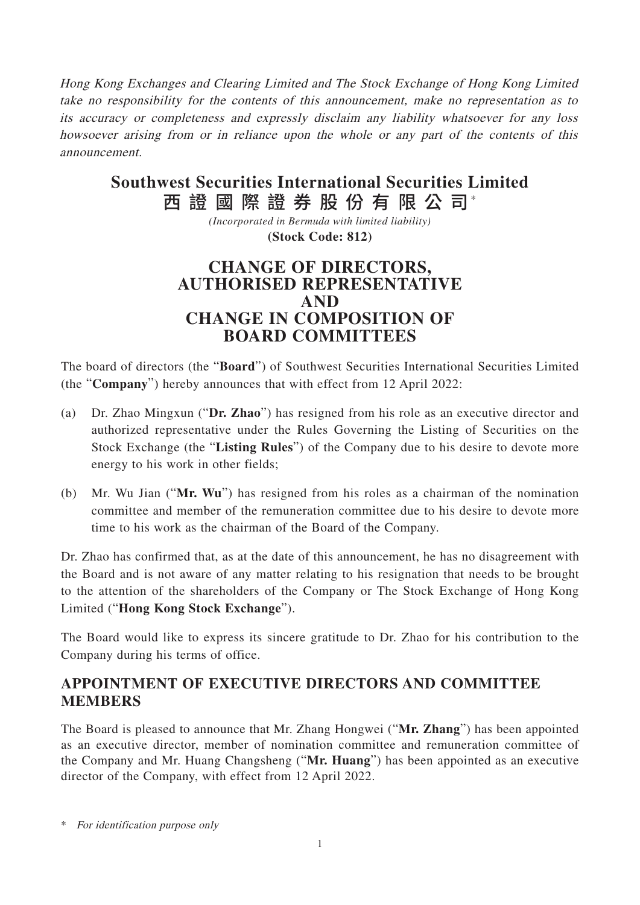Hong Kong Exchanges and Clearing Limited and The Stock Exchange of Hong Kong Limited take no responsibility for the contents of this announcement, make no representation as to its accuracy or completeness and expressly disclaim any liability whatsoever for any loss howsoever arising from or in reliance upon the whole or any part of the contents of this announcement.

# 西 證 國 際 證 券 股 份 有 限 公 司\* **Southwest Securities International Securities Limited**

*(Incorporated in Bermuda with limited liability)* **(Stock Code: 812)**

## **CHANGE OF DIRECTORS, AUTHORISED REPRESENTATIVE AND CHANGE IN COMPOSITION OF BOARD COMMITTEES**

The board of directors (the "**Board**") of Southwest Securities International Securities Limited (the "**Company**") hereby announces that with effect from 12 April 2022:

- (a) Dr. Zhao Mingxun ("**Dr. Zhao**") has resigned from his role as an executive director and authorized representative under the Rules Governing the Listing of Securities on the Stock Exchange (the "**Listing Rules**") of the Company due to his desire to devote more energy to his work in other fields;
- (b) Mr. Wu Jian ("**Mr. Wu**") has resigned from his roles as a chairman of the nomination committee and member of the remuneration committee due to his desire to devote more time to his work as the chairman of the Board of the Company.

Dr. Zhao has confirmed that, as at the date of this announcement, he has no disagreement with the Board and is not aware of any matter relating to his resignation that needs to be brought to the attention of the shareholders of the Company or The Stock Exchange of Hong Kong Limited ("**Hong Kong Stock Exchange**").

The Board would like to express its sincere gratitude to Dr. Zhao for his contribution to the Company during his terms of office.

### **APPOINTMENT OF EXECUTIVE DIRECTORS AND COMMITTEE MEMBERS**

The Board is pleased to announce that Mr. Zhang Hongwei ("**Mr. Zhang**") has been appointed as an executive director, member of nomination committee and remuneration committee of the Company and Mr. Huang Changsheng ("**Mr. Huang**") has been appointed as an executive director of the Company, with effect from 12 April 2022.

\* For identification purpose only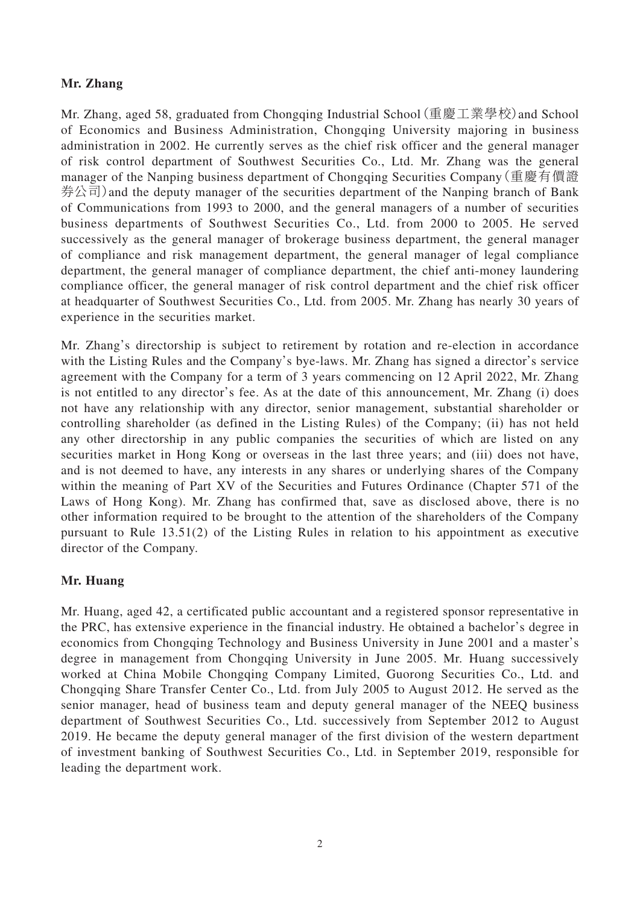#### **Mr. Zhang**

Mr. Zhang, aged 58, graduated from Chongqing Industrial School(重慶工業學校)and School of Economics and Business Administration, Chongqing University majoring in business administration in 2002. He currently serves as the chief risk officer and the general manager of risk control department of Southwest Securities Co., Ltd. Mr. Zhang was the general manager of the Nanping business department of Chongqing Securities Company(重慶有價證 券公司)and the deputy manager of the securities department of the Nanping branch of Bank of Communications from 1993 to 2000, and the general managers of a number of securities business departments of Southwest Securities Co., Ltd. from 2000 to 2005. He served successively as the general manager of brokerage business department, the general manager of compliance and risk management department, the general manager of legal compliance department, the general manager of compliance department, the chief anti-money laundering compliance officer, the general manager of risk control department and the chief risk officer at headquarter of Southwest Securities Co., Ltd. from 2005. Mr. Zhang has nearly 30 years of experience in the securities market.

Mr. Zhang's directorship is subject to retirement by rotation and re-election in accordance with the Listing Rules and the Company's bye-laws. Mr. Zhang has signed a director's service agreement with the Company for a term of 3 years commencing on 12 April 2022, Mr. Zhang is not entitled to any director's fee. As at the date of this announcement, Mr. Zhang (i) does not have any relationship with any director, senior management, substantial shareholder or controlling shareholder (as defined in the Listing Rules) of the Company; (ii) has not held any other directorship in any public companies the securities of which are listed on any securities market in Hong Kong or overseas in the last three years; and (iii) does not have, and is not deemed to have, any interests in any shares or underlying shares of the Company within the meaning of Part XV of the Securities and Futures Ordinance (Chapter 571 of the Laws of Hong Kong). Mr. Zhang has confirmed that, save as disclosed above, there is no other information required to be brought to the attention of the shareholders of the Company pursuant to Rule 13.51(2) of the Listing Rules in relation to his appointment as executive director of the Company.

#### **Mr. Huang**

Mr. Huang, aged 42, a certificated public accountant and a registered sponsor representative in the PRC, has extensive experience in the financial industry. He obtained a bachelor's degree in economics from Chongqing Technology and Business University in June 2001 and a master's degree in management from Chongqing University in June 2005. Mr. Huang successively worked at China Mobile Chongqing Company Limited, Guorong Securities Co., Ltd. and Chongqing Share Transfer Center Co., Ltd. from July 2005 to August 2012. He served as the senior manager, head of business team and deputy general manager of the NEEQ business department of Southwest Securities Co., Ltd. successively from September 2012 to August 2019. He became the deputy general manager of the first division of the western department of investment banking of Southwest Securities Co., Ltd. in September 2019, responsible for leading the department work.